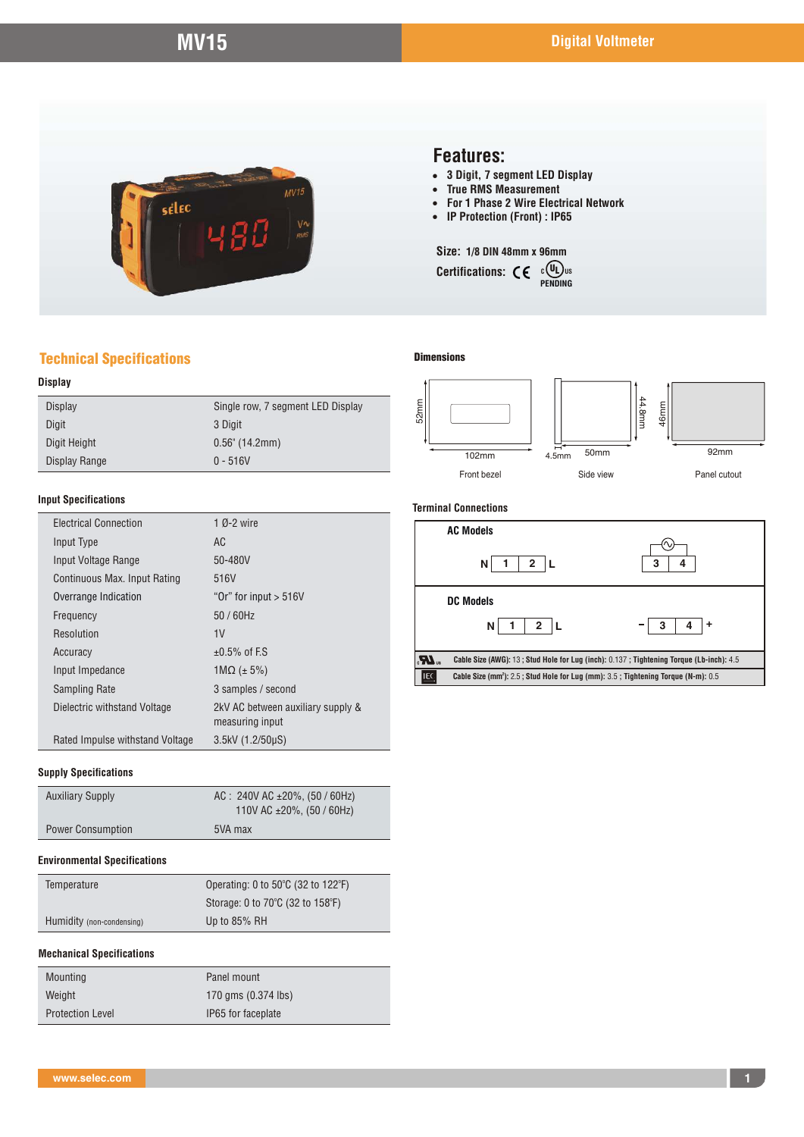

## **Features:**

- ! **3 Digit, 7 segment LED Display**
- **True RMS Measurement**<br>• For 1 Phase 2 Wire Elect
- ! **For 1 Phase 2 Wire Electrical Network**
- ! **IP Protection (Front) : IP65**

#### **Size: 1/8 DIN 48mm x 96mm**

**Certifications:**  $\mathsf{C}\mathsf{E}$  **c CE**<br>PENDING **<sup>C</sup>** UL **US**

## Technical Specifications

### **Display**

| Display       | Single row, 7 segment LED Display |  |
|---------------|-----------------------------------|--|
| Digit         | 3 Digit                           |  |
| Digit Height  | $0.56$ " (14.2mm)                 |  |
| Display Range | $0 - 516V$                        |  |
|               |                                   |  |

#### **Input Specifications**

| <b>Electrical Connection</b>    | 1 $0 - 2$ wire                                       |
|---------------------------------|------------------------------------------------------|
| Input Type                      | AC                                                   |
| Input Voltage Range             | 50-480V                                              |
| Continuous Max. Input Rating    | 516V                                                 |
| Overrange Indication            | "Or" for input $> 516V$                              |
| Frequency                       | 50 / 60Hz                                            |
| Resolution                      | 1 <sub>V</sub>                                       |
| Accuracy                        | $\pm 0.5\%$ of F.S.                                  |
| Input Impedance                 | $1\text{M}\Omega$ (± 5%)                             |
| Sampling Rate                   | 3 samples / second                                   |
| Dielectric withstand Voltage    | 2kV AC between auxiliary supply &<br>measuring input |
| Rated Impulse withstand Voltage | 3.5kV (1.2/50µS)                                     |

#### **Supply Specifications**

| <b>Auxiliary Supply</b>  | AC: $240V$ AC $\pm 20\%$ , (50 / 60Hz)<br>110V AC $\pm 20\%$ , (50 / 60Hz) |  |  |
|--------------------------|----------------------------------------------------------------------------|--|--|
| <b>Power Consumption</b> | 5VA max                                                                    |  |  |

#### **Environmental Specifications**

| Temperature               | Operating: 0 to $50^{\circ}$ C (32 to 122 $^{\circ}$ F) |  |
|---------------------------|---------------------------------------------------------|--|
|                           | Storage: 0 to 70°C (32 to 158°F)                        |  |
| Humidity (non-condensing) | Up to 85% RH                                            |  |

#### **Mechanical Specifications**

| Mounting                | Panel mount         |
|-------------------------|---------------------|
| Weight                  | 170 gms (0.374 lbs) |
| <b>Protection Level</b> | IP65 for faceplate  |

#### **Dimensions**



#### **Terminal Connections**